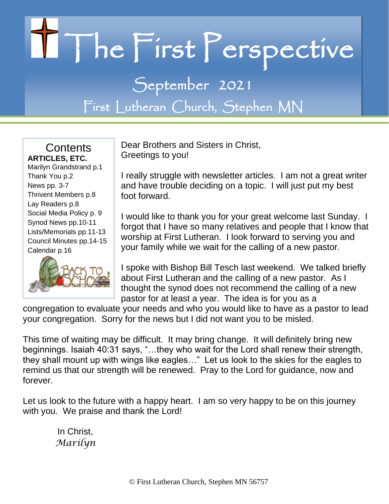# II The First Perspective

September 2021 First Lutheran Church, Stephen MN

**Contents ARTICLES, ETC.** Marilyn Grandstrand p.1 Thank You p.2 News pp. 3-7 Thrivent Members p.8 Lay Readers p.8 Social Media Policy p. 9 Synod News pp.10-11 Lists/Memorials pp.11-13 Council Minutes pp.14-15 Calendar p.16



Dear Brothers and Sisters in Christ, Greetings to you!

I really struggle with newsletter articles. I am not a great writer and have trouble deciding on a topic. I will just put my best foot forward.

I would like to thank you for your great welcome last Sunday. I forgot that I have so many relatives and people that I know that worship at First Lutheran. I look forward to serving you and your family while we wait for the calling of a new pastor.

I spoke with Bishop Bill Tesch last weekend. We talked briefly about First Lutheran and the calling of a new pastor. As I thought the synod does not recommend the calling of a new pastor for at least a year. The idea is for you as a

congregation to evaluate your needs and who you would like to have as a pastor to lead your congregation. Sorry for the news but I did not want you to be misled.

This time of waiting may be difficult. It may bring change. It will definitely bring new beginnings. Isaiah 40:31 says, "…they who wait for the Lord shall renew their strength, they shall mount up with wings like eagles…" Let us look to the skies for the eagles to remind us that our strength will be renewed. Pray to the Lord for guidance, now and forever.

Let us look to the future with a happy heart. I am so very happy to be on this journey with you. We praise and thank the Lord!

 In Christ,  *Marilyn*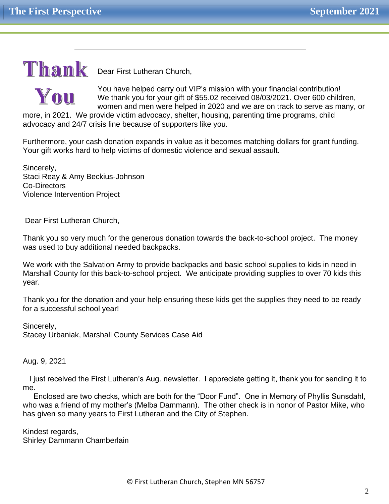# $T$ hank Dear First Lutheran Church,

You

You have helped carry out VIP's mission with your financial contribution! We thank you for your gift of \$55.02 received 08/03/2021. Over 600 children, women and men were helped in 2020 and we are on track to serve as many, or

more, in 2021. We provide victim advocacy, shelter, housing, parenting time programs, child advocacy and 24/7 crisis line because of supporters like you.

Furthermore, your cash donation expands in value as it becomes matching dollars for grant funding. Your gift works hard to help victims of domestic violence and sexual assault.

Sincerely, Staci Reay & Amy Beckius-Johnson Co-Directors Violence Intervention Project

Dear First Lutheran Church,

Thank you so very much for the generous donation towards the back-to-school project. The money was used to buy additional needed backpacks.

We work with the Salvation Army to provide backpacks and basic school supplies to kids in need in Marshall County for this back-to-school project. We anticipate providing supplies to over 70 kids this year.

Thank you for the donation and your help ensuring these kids get the supplies they need to be ready for a successful school year!

Sincerely, Stacey Urbaniak, Marshall County Services Case Aid

Aug. 9, 2021

 I just received the First Lutheran's Aug. newsletter. I appreciate getting it, thank you for sending it to me.

 Enclosed are two checks, which are both for the "Door Fund". One in Memory of Phyllis Sunsdahl, who was a friend of my mother's (Melba Dammann). The other check is in honor of Pastor Mike, who has given so many years to First Lutheran and the City of Stephen.

Kindest regards, Shirley Dammann Chamberlain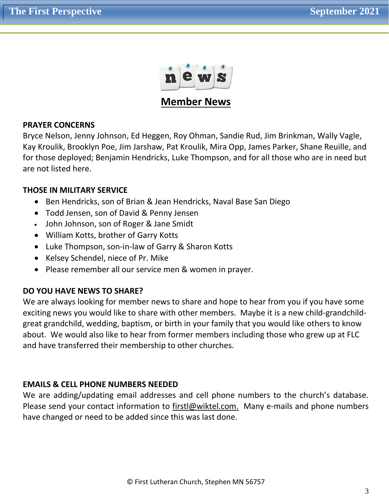

**Member News**

# **PRAYER CONCERNS**

Bryce Nelson, Jenny Johnson, Ed Heggen, Roy Ohman, Sandie Rud, Jim Brinkman, Wally Vagle, Kay Kroulik, Brooklyn Poe, Jim Jarshaw, Pat Kroulik, Mira Opp, James Parker, Shane Reuille, and for those deployed; Benjamin Hendricks, Luke Thompson, and for all those who are in need but are not listed here.

# **THOSE IN MILITARY SERVICE**

- Ben Hendricks, son of Brian & Jean Hendricks, Naval Base San Diego
- Todd Jensen, son of David & Penny Jensen
- John Johnson, son of Roger & Jane Smidt
- William Kotts, brother of Garry Kotts
- Luke Thompson, son-in-law of Garry & Sharon Kotts
- Kelsey Schendel, niece of Pr. Mike
- Please remember all our service men & women in prayer.

# **DO YOU HAVE NEWS TO SHARE?**

We are always looking for member news to share and hope to hear from you if you have some exciting news you would like to share with other members. Maybe it is a new child-grandchildgreat grandchild, wedding, baptism, or birth in your family that you would like others to know about. We would also like to hear from former members including those who grew up at FLC and have transferred their membership to other churches.

# **EMAILS & CELL PHONE NUMBERS NEEDED**

We are adding/updating email addresses and cell phone numbers to the church's database. Please send your contact information to [firstl@wiktel.com.](mailto:firstl@wiktel.com) Many e-mails and phone numbers have changed or need to be added since this was last done.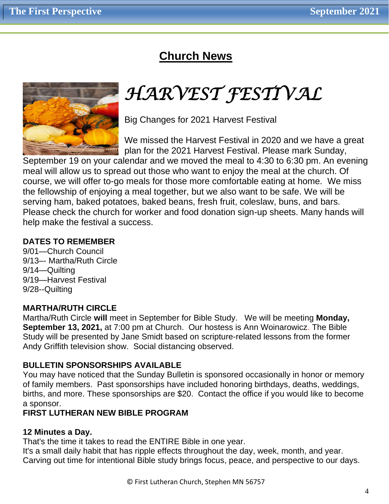# **Church News**



# *HARVEST FESTIVAL*

Big Changes for 2021 Harvest Festival

We missed the Harvest Festival in 2020 and we have a great plan for the 2021 Harvest Festival. Please mark Sunday,

September 19 on your calendar and we moved the meal to 4:30 to 6:30 pm. An evening meal will allow us to spread out those who want to enjoy the meal at the church. Of course, we will offer to-go meals for those more comfortable eating at home. We miss the fellowship of enjoying a meal together, but we also want to be safe. We will be serving ham, baked potatoes, baked beans, fresh fruit, coleslaw, buns, and bars. Please check the church for worker and food donation sign-up sheets. Many hands will help make the festival a success.

# **DATES TO REMEMBER**

9/01—Church Council 9/13–- Martha/Ruth Circle 9/14—Quilting 9/19—Harvest Festival 9/28--Quilting

# **MARTHA/RUTH CIRCLE**

Martha/Ruth Circle **will** meet in September for Bible Study. We will be meeting **Monday, September 13, 2021,** at 7:00 pm at Church. Our hostess is Ann Woinarowicz. The Bible Study will be presented by Jane Smidt based on scripture-related lessons from the former Andy Griffith television show. Social distancing observed.

# **BULLETIN SPONSORSHIPS AVAILABLE**

You may have noticed that the Sunday Bulletin is sponsored occasionally in honor or memory of family members. Past sponsorships have included honoring birthdays, deaths, weddings, births, and more. These sponsorships are \$20. Contact the office if you would like to become a sponsor.

# **FIRST LUTHERAN NEW BIBLE PROGRAM**

# **12 Minutes a Day.**

That's the time it takes to read the ENTIRE Bible in one year.

It's a small daily habit that has ripple effects throughout the day, week, month, and year. Carving out time for intentional Bible study brings focus, peace, and perspective to our days.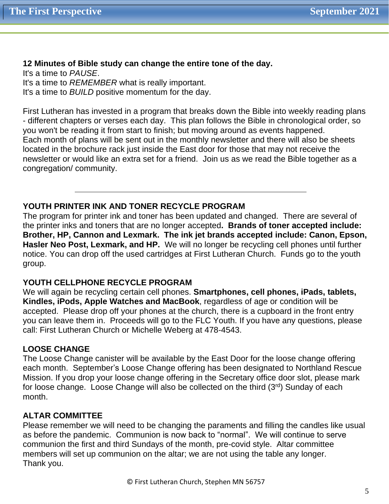# **12 Minutes of Bible study can change the entire tone of the day.**

It's a time to *PAUSE*. It's a time to *REMEMBER* what is really important. It's a time to *BUILD* positive momentum for the day.

First Lutheran has invested in a program that breaks down the Bible into weekly reading plans - different chapters or verses each day. This plan follows the Bible in chronological order, so you won't be reading it from start to finish; but moving around as events happened. Each month of plans will be sent out in the monthly newsletter and there will also be sheets located in the brochure rack just inside the East door for those that may not receive the newsletter or would like an extra set for a friend. Join us as we read the Bible together as a congregation/ community.

# **YOUTH PRINTER INK AND TONER RECYCLE PROGRAM**

The program for printer ink and toner has been updated and changed. There are several of the printer inks and toners that are no longer accepted**. Brands of toner accepted include: Brother, HP, Cannon and Lexmark. The ink jet brands accepted include: Canon, Epson, Hasler Neo Post, Lexmark, and HP.** We will no longer be recycling cell phones until further notice. You can drop off the used cartridges at First Lutheran Church. Funds go to the youth group.

# **YOUTH CELLPHONE RECYCLE PROGRAM**

We will again be recycling certain cell phones. **Smartphones, cell phones, iPads, tablets, Kindles, iPods, Apple Watches and MacBook**, regardless of age or condition will be accepted. Please drop off your phones at the church, there is a cupboard in the front entry you can leave them in. Proceeds will go to the FLC Youth. If you have any questions, please call: First Lutheran Church or Michelle Weberg at 478-4543.

# **LOOSE CHANGE**

The Loose Change canister will be available by the East Door for the loose change offering each month. September's Loose Change offering has been designated to Northland Rescue Mission. If you drop your loose change offering in the Secretary office door slot, please mark for loose change. Loose Change will also be collected on the third  $(3<sup>rd</sup>)$  Sunday of each month.

# **ALTAR COMMITTEE**

Please remember we will need to be changing the paraments and filling the candles like usual as before the pandemic. Communion is now back to "normal". We will continue to serve communion the first and third Sundays of the month, pre-covid style. Altar committee members will set up communion on the altar; we are not using the table any longer. Thank you.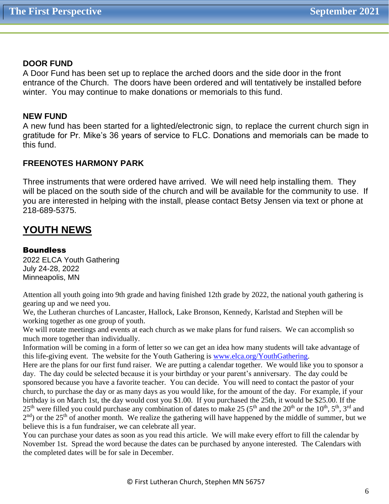## **DOOR FUND**

A Door Fund has been set up to replace the arched doors and the side door in the front entrance of the Church. The doors have been ordered and will tentatively be installed before winter. You may continue to make donations or memorials to this fund.

#### **NEW FUND**

A new fund has been started for a lighted/electronic sign, to replace the current church sign in gratitude for Pr. Mike's 36 years of service to FLC. Donations and memorials can be made to this fund.

# **FREENOTES HARMONY PARK**

Three instruments that were ordered have arrived. We will need help installing them. They will be placed on the south side of the church and will be available for the community to use. If you are interested in helping with the install, please contact Betsy Jensen via text or phone at 218-689-5375.

# **YOUTH NEWS**

#### **Boundless**

2022 ELCA Youth Gathering July 24-28, 2022 Minneapolis, MN

Attention all youth going into 9th grade and having finished 12th grade by 2022, the national youth gathering is gearing up and we need you.

We, the Lutheran churches of Lancaster, Hallock, Lake Bronson, Kennedy, Karlstad and Stephen will be working together as one group of youth.

We will rotate meetings and events at each church as we make plans for fund raisers. We can accomplish so much more together than individually.

Information will be coming in a form of letter so we can get an idea how many students will take advantage of this life-giving event. The website for the Youth Gathering is [www.elca.org/YouthGathering.](http://www.elca.org/YouthGathering)

Here are the plans for our first fund raiser. We are putting a calendar together. We would like you to sponsor a day. The day could be selected because it is your birthday or your parent's anniversary. The day could be sponsored because you have a favorite teacher. You can decide. You will need to contact the pastor of your church, to purchase the day or as many days as you would like, for the amount of the day. For example, if your birthday is on March 1st, the day would cost you \$1.00. If you purchased the 25th, it would be \$25.00. If the 25<sup>th</sup> were filled you could purchase any combination of dates to make 25 (5<sup>th</sup> and the 20<sup>th</sup> or the 10<sup>th</sup>, 5<sup>th</sup>, 3<sup>rd</sup> and  $2<sup>nd</sup>$ ) or the 25<sup>th</sup> of another month. We realize the gathering will have happened by the middle of summer, but we believe this is a fun fundraiser, we can celebrate all year.

You can purchase your dates as soon as you read this article. We will make every effort to fill the calendar by November 1st. Spread the word because the dates can be purchased by anyone interested. The Calendars with the completed dates will be for sale in December.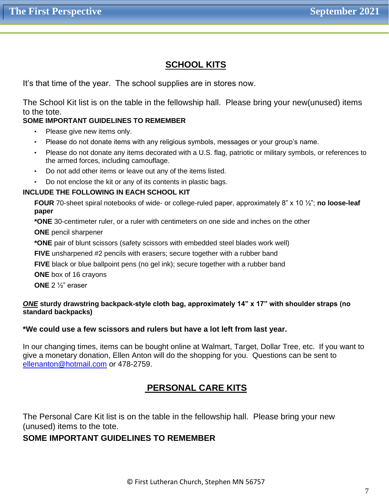# **SCHOOL KITS**

It's that time of the year. The school supplies are in stores now.

The School Kit list is on the table in the fellowship hall. Please bring your new(unused) items to the tote.

## **SOME IMPORTANT GUIDELINES TO REMEMBER**

- Please give new items only.
- Please do not donate items with any religious symbols, messages or your group's name.
- Please do not donate any items decorated with a U.S. flag, patriotic or military symbols, or references to the armed forces, including camouflage.
- Do not add other items or leave out any of the items listed.
- Do not enclose the kit or any of its contents in plastic bags.

#### **INCLUDE THE FOLLOWING IN EACH SCHOOL KIT**

**FOUR** 70-sheet spiral notebooks of wide- or college-ruled paper, approximately 8" x 10 ½"; **no loose-leaf paper**

**\*ONE** 30-centimeter ruler, or a ruler with centimeters on one side and inches on the other

**ONE** pencil sharpener

**\*ONE** pair of blunt scissors (safety scissors with embedded steel blades work well)

**FIVE** unsharpened #2 pencils with erasers; secure together with a rubber band

**FIVE** black or blue ballpoint pens (no gel ink); secure together with a rubber band

**ONE** box of 16 crayons

**ONE** 2 ½" eraser

#### *ONE* **sturdy drawstring backpack-style cloth bag, approximately 14" x 17" with shoulder straps (no standard backpacks)**

## **\*We could use a few scissors and rulers but have a lot left from last year.**

In our changing times, items can be bought online at Walmart, Target, Dollar Tree, etc. If you want to give a monetary donation, Ellen Anton will do the shopping for you. Questions can be sent to [ellenanton@hotmail.com](mailto:ellenanton@hotmail.com) or 478-2759.

# **PERSONAL CARE KITS**

The Personal Care Kit list is on the table in the fellowship hall. Please bring your new (unused) items to the tote.

# **SOME IMPORTANT GUIDELINES TO REMEMBER**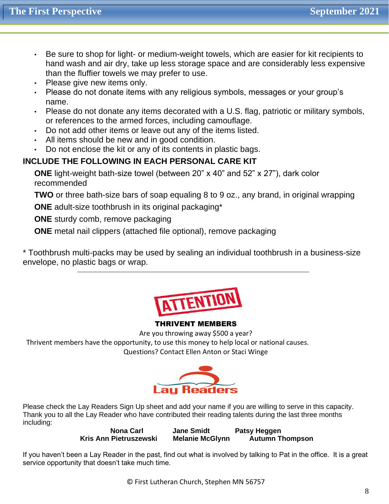- Be sure to shop for light- or medium-weight towels, which are easier for kit recipients to hand wash and air dry, take up less storage space and are considerably less expensive than the fluffier towels we may prefer to use.
- Please give new items only.
- Please do not donate items with any religious symbols, messages or your group's name.
- Please do not donate any items decorated with a U.S. flag, patriotic or military symbols, or references to the armed forces, including camouflage.
- Do not add other items or leave out any of the items listed.
- All items should be new and in good condition.
- Do not enclose the kit or any of its contents in plastic bags.

# **INCLUDE THE FOLLOWING IN EACH PERSONAL CARE KIT**

**ONE** light-weight bath-size towel (between 20" x 40" and 52" x 27"), dark color recommended

**TWO** or three bath-size bars of soap equaling 8 to 9 oz., any brand, in original wrapping

**ONE** adult-size toothbrush in its original packaging\*

**ONE** sturdy comb, remove packaging

**ONE** metal nail clippers (attached file optional), remove packaging

\* Toothbrush multi-packs may be used by sealing an individual toothbrush in a business-size envelope, no plastic bags or wrap.



# THRIVENT MEMBERS

Are you throwing away \$500 a year?

 Thrivent members have the opportunity, to use this money to help local or national causes. Questions? Contact Ellen Anton or Staci Winge



Please check the Lay Readers Sign Up sheet and add your name if you are willing to serve in this capacity. Thank you to all the Lay Reader who have contributed their reading talents during the last three months including:

**Nona Carl Jane Smidt Patsy Heggen Kris Ann Pietruszewski Melanie McGlynn Autumn Thompson** 

If you haven't been a Lay Reader in the past, find out what is involved by talking to Pat in the office. It is a great service opportunity that doesn't take much time.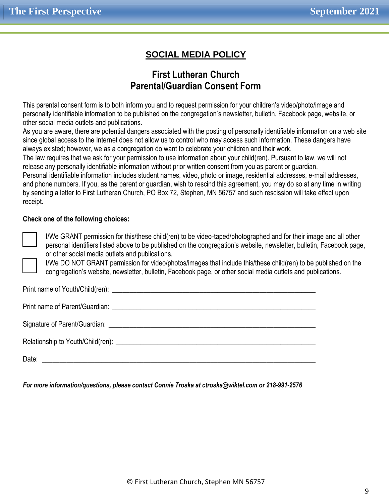# **SOCIAL MEDIA POLICY**

# **First Lutheran Church Parental/Guardian Consent Form**

This parental consent form is to both inform you and to request permission for your children's video/photo/image and personally identifiable information to be published on the congregation's newsletter, bulletin, Facebook page, website, or other social media outlets and publications.

As you are aware, there are potential dangers associated with the posting of personally identifiable information on a web site since global access to the Internet does not allow us to control who may access such information. These dangers have always existed; however, we as a congregation do want to celebrate your children and their work.

The law requires that we ask for your permission to use information about your child(ren). Pursuant to law, we will not release any personally identifiable information without prior written consent from you as parent or guardian.

Personal identifiable information includes student names, video, photo or image, residential addresses, e-mail addresses, and phone numbers. If you, as the parent or guardian, wish to rescind this agreement, you may do so at any time in writing by sending a letter to First Lutheran Church, PO Box 72, Stephen, MN 56757 and such rescission will take effect upon receipt.

#### **Check one of the following choices:**

I/We GRANT permission for this/these child(ren) to be video-taped/photographed and for their image and all other personal identifiers listed above to be published on the congregation's website, newsletter, bulletin, Facebook page, or other social media outlets and publications.

I/We DO NOT GRANT permission for video/photos/images that include this/these child(ren) to be published on the congregation's website, newsletter, bulletin, Facebook page, or other social media outlets and publications.

Print name of Youth/Child(ren): \_\_\_\_\_\_\_\_\_\_\_\_\_\_\_\_\_\_\_\_\_\_\_\_\_\_\_\_\_\_\_\_\_\_\_\_\_\_\_\_\_\_\_\_\_\_\_\_\_\_\_\_\_\_\_\_\_\_

Print name of Parent/Guardian:  $\blacksquare$ 

Signature of Parent/Guardian: \_\_\_\_\_\_\_\_\_\_\_\_\_\_\_\_\_\_\_\_\_\_\_\_\_\_\_\_\_\_\_\_\_\_\_\_\_\_\_\_\_\_\_\_\_\_\_\_\_\_\_\_\_\_\_\_\_\_\_

Relationship to Youth/Child(ren): \_\_\_\_\_\_\_\_\_\_\_\_\_\_\_\_\_\_\_\_\_\_\_\_\_\_\_\_\_\_\_\_\_\_\_\_\_\_\_\_\_\_\_\_\_\_\_\_\_\_\_\_\_\_\_\_\_

Date: \_\_\_\_\_\_\_\_\_\_\_\_\_\_\_\_\_\_\_\_\_\_\_\_\_\_\_\_\_\_\_\_\_\_\_\_\_\_\_\_\_\_\_\_\_\_\_\_\_\_\_\_\_\_\_\_\_\_\_\_\_\_\_\_\_\_\_\_\_\_\_\_\_\_\_\_\_\_

*For more information/questions, please contact Connie Troska at ctroska@wiktel.com or 218-991-2576*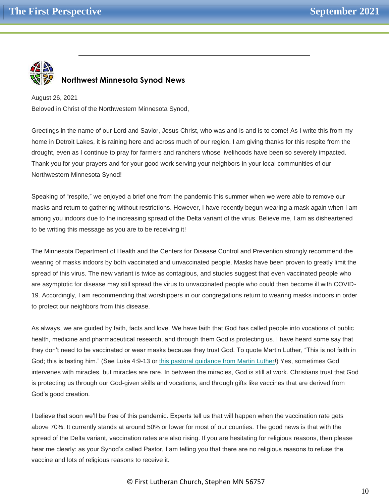

# **Northwest Minnesota Synod News**

August 26, 2021 Beloved in Christ of the Northwestern Minnesota Synod,

Greetings in the name of our Lord and Savior, Jesus Christ, who was and is and is to come! As I write this from my home in Detroit Lakes, it is raining here and across much of our region. I am giving thanks for this respite from the drought, even as I continue to pray for farmers and ranchers whose livelihoods have been so severely impacted. Thank you for your prayers and for your good work serving your neighbors in your local communities of our Northwestern Minnesota Synod!

Speaking of "respite," we enjoyed a brief one from the pandemic this summer when we were able to remove our masks and return to gathering without restrictions. However, I have recently begun wearing a mask again when I am among you indoors due to the increasing spread of the Delta variant of the virus. Believe me, I am as disheartened to be writing this message as you are to be receiving it!

The Minnesota Department of Health and the Centers for Disease Control and Prevention strongly recommend the wearing of masks indoors by both vaccinated and unvaccinated people. Masks have been proven to greatly limit the spread of this virus. The new variant is twice as contagious, and studies suggest that even vaccinated people who are asymptotic for disease may still spread the virus to unvaccinated people who could then become ill with COVID-19. Accordingly, I am recommending that worshippers in our congregations return to wearing masks indoors in order to protect our neighbors from this disease.

As always, we are guided by faith, facts and love. We have faith that God has called people into vocations of public health, medicine and pharmaceutical research, and through them God is protecting us. I have heard some say that they don't need to be vaccinated or wear masks because they trust God. To quote Martin Luther, "This is not faith in God; this is testing him." (See Luke 4:9-13 or [this pastoral guidance from Martin Luther!](https://nwmnsynod.us19.list-manage.com/track/click?u=f52e21d74e22a27bb1c260f9d&id=e0e90e6e32&e=4e15ae44c5)) Yes, sometimes God intervenes with miracles, but miracles are rare. In between the miracles, God is still at work. Christians trust that God is protecting us through our God-given skills and vocations, and through gifts like vaccines that are derived from God's good creation.

I believe that soon we'll be free of this pandemic. Experts tell us that will happen when the vaccination rate gets above 70%. It currently stands at around 50% or lower for most of our counties. The good news is that with the spread of the Delta variant, vaccination rates are also rising. If you are hesitating for religious reasons, then please hear me clearly: as your Synod's called Pastor, I am telling you that there are no religious reasons to refuse the vaccine and lots of religious reasons to receive it.

#### © First Lutheran Church, Stephen MN 56757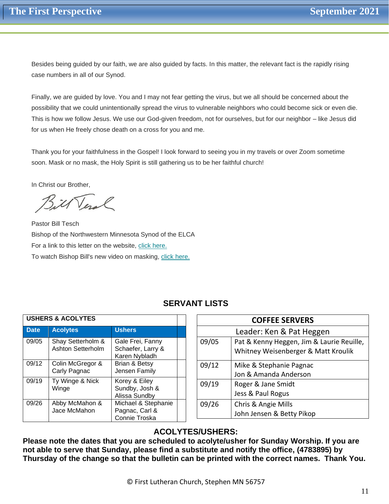Besides being guided by our faith, we are also guided by facts. In this matter, the relevant fact is the rapidly rising case numbers in all of our Synod.

Finally, we are guided by love. You and I may not fear getting the virus, but we all should be concerned about the possibility that we could unintentionally spread the virus to vulnerable neighbors who could become sick or even die. This is how we follow Jesus. We use our God-given freedom, not for ourselves, but for our neighbor – like Jesus did for us when He freely chose death on a cross for you and me.

Thank you for your faithfulness in the Gospel! I look forward to seeing you in my travels or over Zoom sometime soon. Mask or no mask, the Holy Spirit is still gathering us to be her faithful church!

In Christ our Brother,

Veral

Pastor Bill Tesch Bishop of the Northwestern Minnesota Synod of the ELCA For a link to this letter on the website, [click here.](https://nwmnsynod.us19.list-manage.com/track/click?u=f52e21d74e22a27bb1c260f9d&id=b0a3c9b97d&e=4e15ae44c5) To watch Bishop Bill's new video on masking, [click here.](https://nwmnsynod.us19.list-manage.com/track/click?u=f52e21d74e22a27bb1c260f9d&id=7fca13b2d2&e=4e15ae44c5)

| <b>USHERS &amp; ACOLYTES</b> |                                        |                                                        |  |
|------------------------------|----------------------------------------|--------------------------------------------------------|--|
| <b>Date</b>                  | <b>Acolytes</b>                        | <b>Ushers</b>                                          |  |
| 09/05                        | Shay Setterholm &<br>Ashton Setterholm | Gale Frei, Fanny<br>Schaefer, Larry &<br>Karen Nybladh |  |
| 09/12                        | Colin McGregor &<br>Carly Pagnac       | Brian & Betsy<br>Jensen Family                         |  |
| 09/19                        | Ty Winge & Nick<br>Winge               | Korey & Eiley<br>Sundby, Josh &<br>Alissa Sundby       |  |
| 09/26                        | Abby McMahon &<br>Jace McMahon         | Michael & Stephanie<br>Pagnac, Carl &<br>Connie Troska |  |

| <b>COFFEE SERVERS</b>    |                                           |  |  |  |
|--------------------------|-------------------------------------------|--|--|--|
| Leader: Ken & Pat Heggen |                                           |  |  |  |
| 09/05                    | Pat & Kenny Heggen, Jim & Laurie Reuille, |  |  |  |
|                          | Whitney Weisenberger & Matt Kroulik       |  |  |  |
| 09/12                    | Mike & Stephanie Pagnac                   |  |  |  |
|                          | Jon & Amanda Anderson                     |  |  |  |
| 09/19                    | Roger & Jane Smidt                        |  |  |  |
|                          | Jess & Paul Rogus                         |  |  |  |
| 09/26                    | Chris & Angie Mills                       |  |  |  |
|                          | John Jensen & Betty Pikop                 |  |  |  |

# **ACOLYTES/USHERS:**

**Please note the dates that you are scheduled to acolyte/usher for Sunday Worship. If you are not able to serve that Sunday, please find a substitute and notify the office, (4783895) by Thursday of the change so that the bulletin can be printed with the correct names. Thank You.**

# **SERVANT LISTS**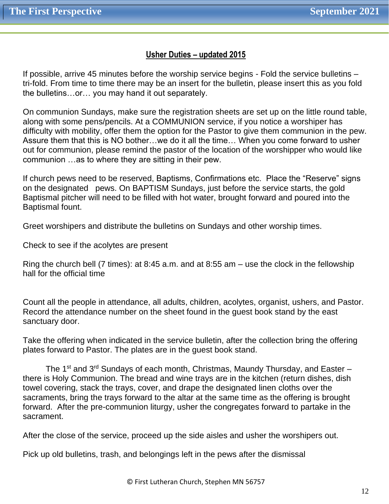# **Usher Duties – updated 2015**

If possible, arrive 45 minutes before the worship service begins - Fold the service bulletins – tri-fold. From time to time there may be an insert for the bulletin, please insert this as you fold the bulletins…or… you may hand it out separately.

On communion Sundays, make sure the registration sheets are set up on the little round table, along with some pens/pencils. At a COMMUNION service, if you notice a worshiper has difficulty with mobility, offer them the option for the Pastor to give them communion in the pew. Assure them that this is NO bother…we do it all the time… When you come forward to usher out for communion, please remind the pastor of the location of the worshipper who would like communion …as to where they are sitting in their pew.

If church pews need to be reserved, Baptisms, Confirmations etc. Place the "Reserve" signs on the designated pews. On BAPTISM Sundays, just before the service starts, the gold Baptismal pitcher will need to be filled with hot water, brought forward and poured into the Baptismal fount.

Greet worshipers and distribute the bulletins on Sundays and other worship times.

Check to see if the acolytes are present

Ring the church bell (7 times): at 8:45 a.m. and at 8:55 am – use the clock in the fellowship hall for the official time

Count all the people in attendance, all adults, children, acolytes, organist, ushers, and Pastor. Record the attendance number on the sheet found in the guest book stand by the east sanctuary door.

Take the offering when indicated in the service bulletin, after the collection bring the offering plates forward to Pastor. The plates are in the guest book stand.

The 1<sup>st</sup> and  $3^{rd}$  Sundays of each month, Christmas, Maundy Thursday, and Easter – there is Holy Communion. The bread and wine trays are in the kitchen (return dishes, dish towel covering, stack the trays, cover, and drape the designated linen cloths over the sacraments, bring the trays forward to the altar at the same time as the offering is brought forward. After the pre-communion liturgy, usher the congregates forward to partake in the sacrament.

After the close of the service, proceed up the side aisles and usher the worshipers out.

Pick up old bulletins, trash, and belongings left in the pews after the dismissal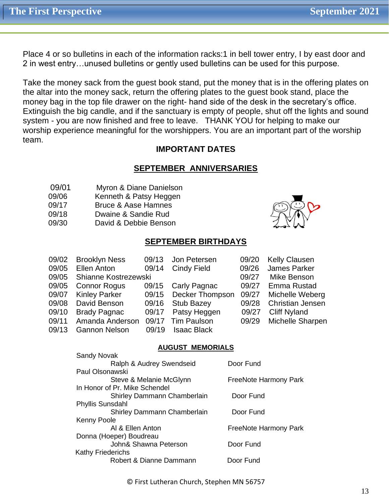Place 4 or so bulletins in each of the information racks:1 in bell tower entry, I by east door and 2 in west entry…unused bulletins or gently used bulletins can be used for this purpose.

Take the money sack from the guest book stand, put the money that is in the offering plates on the altar into the money sack, return the offering plates to the guest book stand, place the money bag in the top file drawer on the right- hand side of the desk in the secretary's office. Extinguish the big candle, and if the sanctuary is empty of people, shut off the lights and sound system - you are now finished and free to leave. THANK YOU for helping to make our worship experience meaningful for the worshippers. You are an important part of the worship team.

# **IMPORTANT DATES**

# **SEPTEMBER ANNIVERSARIES**

- 09/01 Myron & Diane Danielson
- 09/06 Kenneth & Patsy Heggen
- 09/17 Bruce & Aase Hamnes
- 09/18 Dwaine & Sandie Rud

Sandy Novak

09/30 David & Debbie Benson

# **SEPTEMBER BIRTHDAYS**

| 09/02 | <b>Brooklyn Ness</b> | 09/13 | Jon Petersen       | 09/20 | <b>Kelly Clausen</b>    |
|-------|----------------------|-------|--------------------|-------|-------------------------|
| 09/05 | Ellen Anton          | 09/14 | Cindy Field        | 09/26 | James Parker            |
| 09/05 | Shianne Kostrezewski |       |                    | 09/27 | Mike Benson             |
| 09/05 | <b>Connor Rogus</b>  |       | 09/15 Carly Pagnac | 09/27 | Emma Rustad             |
| 09/07 | <b>Kinley Parker</b> | 09/15 | Decker Thompson    | 09/27 | Michelle Weberg         |
| 09/08 | David Benson         | 09/16 | <b>Stub Bazey</b>  | 09/28 | <b>Christian Jensen</b> |
| 09/10 | <b>Brady Pagnac</b>  | 09/17 | Patsy Heggen       | 09/27 | <b>Cliff Nyland</b>     |
| 09/11 | Amanda Anderson      | 09/17 | <b>Tim Paulson</b> | 09/29 | Michelle Sharpen        |
| 09/13 | <b>Gannon Nelson</b> | 09/19 | <b>Isaac Black</b> |       |                         |
|       |                      |       |                    |       |                         |

## **AUGUST MEMORIALS**

| <b>Sandy Novak</b>            |                              |
|-------------------------------|------------------------------|
| Ralph & Audrey Swendseid      | Door Fund                    |
| Paul Olsonawski               |                              |
| Steve & Melanie McGlynn       | <b>FreeNote Harmony Park</b> |
| In Honor of Pr. Mike Schendel |                              |
| Shirley Dammann Chamberlain   | Door Fund                    |
| <b>Phyllis Sunsdahl</b>       |                              |
| Shirley Dammann Chamberlain   | Door Fund                    |
| <b>Kenny Poole</b>            |                              |
| AI & Ellen Anton              | <b>FreeNote Harmony Park</b> |
| Donna (Hoeper) Boudreau       |                              |
| John& Shawna Peterson         | Door Fund                    |
| <b>Kathy Friederichs</b>      |                              |
| Robert & Dianne Dammann       | Door Fund                    |
|                               |                              |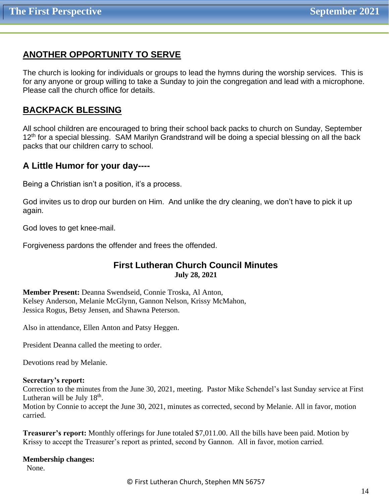# **ANOTHER OPPORTUNITY TO SERVE**

The church is looking for individuals or groups to lead the hymns during the worship services. This is for any anyone or group willing to take a Sunday to join the congregation and lead with a microphone. Please call the church office for details.

# **BACKPACK BLESSING**

All school children are encouraged to bring their school back packs to church on Sunday, September 12<sup>th</sup> for a special blessing. SAM Marilyn Grandstrand will be doing a special blessing on all the back packs that our children carry to school.

# **A Little Humor for your day----**

Being a Christian isn't a position, it's a process.

God invites us to drop our burden on Him. And unlike the dry cleaning, we don't have to pick it up again.

God loves to get knee-mail.

Forgiveness pardons the offender and frees the offended.

# **First Lutheran Church Council Minutes July 28, 2021**

**Member Present:** Deanna Swendseid, Connie Troska, Al Anton, Kelsey Anderson, Melanie McGlynn, Gannon Nelson, Krissy McMahon, Jessica Rogus, Betsy Jensen, and Shawna Peterson.

Also in attendance, Ellen Anton and Patsy Heggen.

President Deanna called the meeting to order.

Devotions read by Melanie.

#### **Secretary's report:**

Correction to the minutes from the June 30, 2021, meeting. Pastor Mike Schendel's last Sunday service at First Lutheran will be July  $18<sup>th</sup>$ .

Motion by Connie to accept the June 30, 2021, minutes as corrected, second by Melanie. All in favor, motion carried.

**Treasurer's report:** Monthly offerings for June totaled \$7,011.00. All the bills have been paid. Motion by Krissy to accept the Treasurer's report as printed, second by Gannon. All in favor, motion carried.

# **Membership changes:**

None.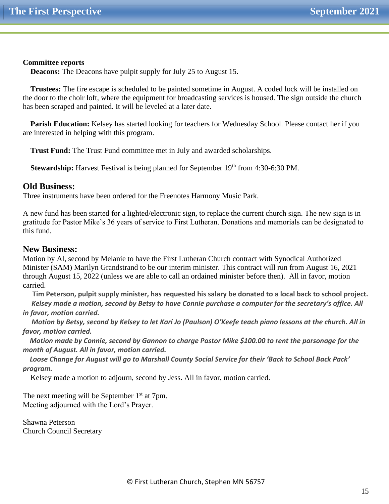#### **Committee reports**

 **Deacons:** The Deacons have pulpit supply for July 25 to August 15.

 **Trustees:** The fire escape is scheduled to be painted sometime in August. A coded lock will be installed on the door to the choir loft, where the equipment for broadcasting services is housed. The sign outside the church has been scraped and painted. It will be leveled at a later date.

 **Parish Education:** Kelsey has started looking for teachers for Wednesday School. Please contact her if you are interested in helping with this program.

 **Trust Fund:** The Trust Fund committee met in July and awarded scholarships.

**Stewardship:** Harvest Festival is being planned for September 19<sup>th</sup> from 4:30-6:30 PM.

## **Old Business:**

Three instruments have been ordered for the Freenotes Harmony Music Park.

A new fund has been started for a lighted/electronic sign, to replace the current church sign. The new sign is in gratitude for Pastor Mike's 36 years of service to First Lutheran. Donations and memorials can be designated to this fund.

## **New Business:**

Motion by Al, second by Melanie to have the First Lutheran Church contract with Synodical Authorized Minister (SAM) Marilyn Grandstrand to be our interim minister. This contract will run from August 16, 2021 through August 15, 2022 (unless we are able to call an ordained minister before then). All in favor, motion carried.

 **Tim Peterson, pulpit supply minister, has requested his salary be donated to a local back to school project.**  *Kelsey made a motion, second by Betsy to have Connie purchase a computer for the secretary's office. All in favor, motion carried.*

 *Motion by Betsy, second by Kelsey to let Kari Jo (Paulson) O'Keefe teach piano lessons at the church. All in favor, motion carried.*

 *Motion made by Connie, second by Gannon to charge Pastor Mike \$100.00 to rent the parsonage for the month of August. All in favor, motion carried.*

 *Loose Change for August will go to Marshall County Social Service for their 'Back to School Back Pack' program.*

Kelsey made a motion to adjourn, second by Jess. All in favor, motion carried.

The next meeting will be September  $1<sup>st</sup>$  at 7pm. Meeting adjourned with the Lord's Prayer.

Shawna Peterson Church Council Secretary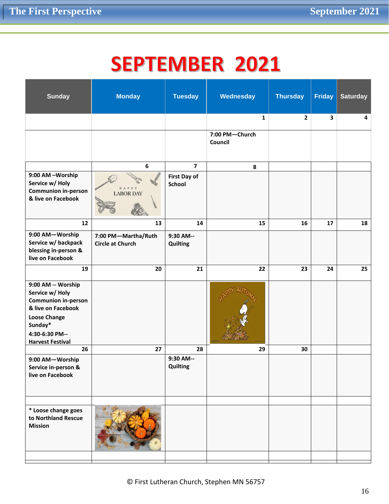# **SEPTEMBER 2021**

| <b>Sunday</b>                                                                                                                                                            | <b>Monday</b>                                  | <b>Tuesday</b>                       | Wednesday                 | <b>Thursday</b> | <b>Friday</b>           | <b>Saturday</b> |
|--------------------------------------------------------------------------------------------------------------------------------------------------------------------------|------------------------------------------------|--------------------------------------|---------------------------|-----------------|-------------------------|-----------------|
|                                                                                                                                                                          |                                                |                                      | $\mathbf{1}$              | $\mathbf{2}$    | $\overline{\mathbf{3}}$ | 4               |
|                                                                                                                                                                          |                                                |                                      | 7:00 PM-Church<br>Council |                 |                         |                 |
|                                                                                                                                                                          | 6                                              | $\overline{7}$                       | ${\bf 8}$                 |                 |                         |                 |
| 9:00 AM -Worship<br>Service w/ Holy<br><b>Communion in-person</b><br>& live on Facebook                                                                                  | HAPPY<br><b>LABOR DAY</b>                      | <b>First Day of</b><br><b>School</b> |                           |                 |                         |                 |
| 12                                                                                                                                                                       | 13                                             | 14                                   | 15                        | 16              | 17                      | 18              |
| 9:00 AM-Worship<br>Service w/ backpack<br>blessing in-person &<br>live on Facebook                                                                                       | 7:00 PM-Martha/Ruth<br><b>Circle at Church</b> | 9:30 AM--<br>Quilting                |                           |                 |                         |                 |
| 19                                                                                                                                                                       | 20                                             | 21                                   | 22                        | 23              | 24                      | 25              |
| 9:00 AM -- Worship<br>Service w/ Holy<br><b>Communion in-person</b><br>& live on Facebook<br><b>Loose Change</b><br>Sunday*<br>4:30-6:30 PM--<br><b>Harvest Festival</b> |                                                |                                      |                           |                 |                         |                 |
| 26                                                                                                                                                                       | 27                                             | 28                                   | 29                        | 30              |                         |                 |
| 9:00 AM-Worship<br>Service in-person &<br>live on Facebook                                                                                                               |                                                | 9:30 AM--<br>Quilting                |                           |                 |                         |                 |
|                                                                                                                                                                          |                                                |                                      |                           |                 |                         |                 |
| * Loose change goes<br>to Northland Rescue<br><b>Mission</b>                                                                                                             |                                                |                                      |                           |                 |                         |                 |
|                                                                                                                                                                          |                                                |                                      |                           |                 |                         |                 |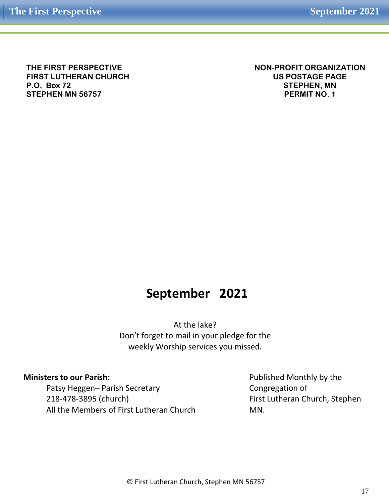**THE FIRST PERSPECTIVE FIRST LUTHERAN CHURCH P.O. Box 72 STEPHEN MN 56757**

**NON-PROFIT ORGANIZATION US POSTAGE PAGE STEPHEN, MN PERMIT NO. 1**

# **September 2021**

At the lake? Don't forget to mail in your pledge for the weekly Worship services you missed.

#### **Ministers to our Parish:**

Patsy Heggen– Parish Secretary 218-478-3895 (church) All the Members of First Lutheran Church Published Monthly by the Congregation of First Lutheran Church, Stephen MN.